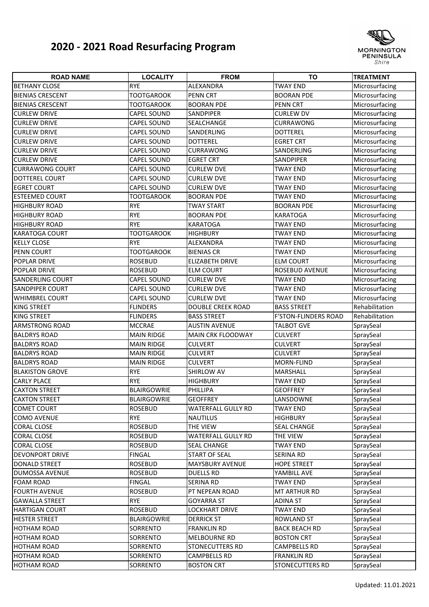## **2020 ‐ 2021 Road Resurfacing Program**



| <b>ROAD NAME</b>        | <b>LOCALITY</b>    | <b>FROM</b>               | <b>TO</b>                   | <b>TREATMENT</b> |
|-------------------------|--------------------|---------------------------|-----------------------------|------------------|
| <b>BETHANY CLOSE</b>    | <b>RYE</b>         | ALEXANDRA                 | <b>TWAY END</b>             | Microsurfacing   |
| <b>BIENIAS CRESCENT</b> | <b>TOOTGAROOK</b>  | <b>PENN CRT</b>           | <b>BOORAN PDE</b>           | Microsurfacing   |
| <b>BIENIAS CRESCENT</b> | <b>TOOTGAROOK</b>  | <b>BOORAN PDE</b>         | PENN CRT                    | Microsurfacing   |
| <b>CURLEW DRIVE</b>     | CAPEL SOUND        | <b>SANDPIPER</b>          | <b>CURLEW DV</b>            | Microsurfacing   |
| <b>CURLEW DRIVE</b>     | CAPEL SOUND        | <b>SEALCHANGE</b>         | CURRAWONG                   | Microsurfacing   |
| <b>CURLEW DRIVE</b>     | CAPEL SOUND        | SANDERLING                | <b>DOTTEREL</b>             | Microsurfacing   |
| <b>CURLEW DRIVE</b>     | CAPEL SOUND        | <b>DOTTEREL</b>           | <b>EGRET CRT</b>            | Microsurfacing   |
| <b>CURLEW DRIVE</b>     | <b>CAPEL SOUND</b> | <b>CURRAWONG</b>          | SANDERLING                  | Microsurfacing   |
| <b>CURLEW DRIVE</b>     | CAPEL SOUND        | <b>EGRET CRT</b>          | SANDPIPER                   | Microsurfacing   |
| <b>CURRAWONG COURT</b>  | <b>CAPEL SOUND</b> | <b>CURLEW DVE</b>         | <b>TWAY END</b>             | Microsurfacing   |
| DOTTEREL COURT          | <b>CAPEL SOUND</b> | <b>CURLEW DVE</b>         | <b>TWAY END</b>             | Microsurfacing   |
| <b>EGRET COURT</b>      | <b>CAPEL SOUND</b> | <b>CURLEW DVE</b>         | <b>TWAY END</b>             | Microsurfacing   |
| <b>ESTEEMED COURT</b>   | <b>TOOTGAROOK</b>  | <b>BOORAN PDE</b>         | <b>TWAY END</b>             | Microsurfacing   |
| <b>HIGHBURY ROAD</b>    | <b>RYE</b>         | <b>TWAY START</b>         | <b>BOORAN PDE</b>           | Microsurfacing   |
| <b>HIGHBURY ROAD</b>    | <b>RYE</b>         | <b>BOORAN PDE</b>         | <b>KARATOGA</b>             | Microsurfacing   |
| <b>HIGHBURY ROAD</b>    | <b>RYE</b>         | <b>KARATOGA</b>           | <b>TWAY END</b>             | Microsurfacing   |
| <b>KARATOGA COURT</b>   | <b>TOOTGAROOK</b>  | <b>HIGHBURY</b>           | <b>TWAY END</b>             | Microsurfacing   |
| <b>KELLY CLOSE</b>      | <b>RYE</b>         | ALEXANDRA                 | <b>TWAY END</b>             | Microsurfacing   |
| <b>PENN COURT</b>       | <b>TOOTGAROOK</b>  | <b>BIENIAS CR</b>         | <b>TWAY END</b>             | Microsurfacing   |
| POPLAR DRIVE            | <b>ROSEBUD</b>     | <b>ELIZABETH DRIVE</b>    | <b>ELM COURT</b>            | Microsurfacing   |
| <b>POPLAR DRIVE</b>     | <b>ROSEBUD</b>     | <b>ELM COURT</b>          | ROSEBUD AVENUE              | Microsurfacing   |
| <b>SANDERLING COURT</b> | <b>CAPEL SOUND</b> | <b>CURLEW DVE</b>         | <b>TWAY END</b>             | Microsurfacing   |
| <b>SANDPIPER COURT</b>  | <b>CAPEL SOUND</b> | <b>CURLEW DVE</b>         | <b>TWAY END</b>             | Microsurfacing   |
| <b>WHIMBREL COURT</b>   | <b>CAPEL SOUND</b> | <b>CURLEW DVE</b>         | <b>TWAY END</b>             | Microsurfacing   |
| <b>KING STREET</b>      | <b>FLINDERS</b>    | <b>DOUBLE CREEK ROAD</b>  | <b>BASS STREET</b>          | Rehabilitation   |
| <b>KING STREET</b>      | <b>FLINDERS</b>    | <b>BASS STREET</b>        | <b>F'STON-FLINDERS ROAD</b> | Rehabilitation   |
| <b>ARMSTRONG ROAD</b>   | <b>MCCRAE</b>      | <b>AUSTIN AVENUE</b>      | <b>TALBOT GVE</b>           | SpraySeal        |
| <b>BALDRYS ROAD</b>     | <b>MAIN RIDGE</b>  | MAIN CRK FLOODWAY         | <b>CULVERT</b>              | SpraySeal        |
| <b>BALDRYS ROAD</b>     | <b>MAIN RIDGE</b>  | <b>CULVERT</b>            | <b>CULVERT</b>              | SpraySeal        |
| <b>BALDRYS ROAD</b>     | <b>MAIN RIDGE</b>  | <b>CULVERT</b>            | <b>CULVERT</b>              | SpraySeal        |
| <b>BALDRYS ROAD</b>     | <b>MAIN RIDGE</b>  | <b>CULVERT</b>            | MORN-FLIND                  | SpraySeal        |
| <b>BLAKISTON GROVE</b>  | <b>RYE</b>         | <b>SHIRLOW AV</b>         | MARSHALL                    | SpraySeal        |
| <b>CARLY PLACE</b>      | <b>RYE</b>         | <b>HIGHBURY</b>           | <b>TWAY END</b>             | SpraySeal        |
| <b>CAXTON STREET</b>    | <b>BLAIRGOWRIE</b> | PHILLIPA                  | <b>GEOFFREY</b>             | SpraySeal        |
| <b>CAXTON STREET</b>    | <b>BLAIRGOWRIE</b> | <b>GEOFFREY</b>           | LANSDOWNE                   | SpraySeal        |
| <b>COMET COURT</b>      | <b>ROSEBUD</b>     | <b>WATERFALL GULLY RD</b> | <b>TWAY END</b>             | SpraySeal        |
| <b>COMO AVENUE</b>      | <b>RYE</b>         | <b>NAUTILUS</b>           | <b>HIGHBURY</b>             | SpraySeal        |
| <b>CORAL CLOSE</b>      | <b>ROSEBUD</b>     | <b>THE VIEW</b>           | SEAL CHANGE                 | SpraySeal        |
| <b>CORAL CLOSE</b>      | <b>ROSEBUD</b>     | <b>WATERFALL GULLY RD</b> | THE VIEW                    | SpraySeal        |
| <b>CORAL CLOSE</b>      | <b>ROSEBUD</b>     | <b>SEAL CHANGE</b>        | <b>TWAY END</b>             | SpraySeal        |
| <b>DEVONPORT DRIVE</b>  | <b>FINGAL</b>      | <b>START OF SEAL</b>      | SERINA RD                   | SpraySeal        |
| <b>DONALD STREET</b>    | <b>ROSEBUD</b>     | <b>MAYSBURY AVENUE</b>    | <b>HOPE STREET</b>          | SpraySeal        |
| <b>DUMOSSA AVENUE</b>   | ROSEBUD            | DUELLS RD                 | YAMBILL AVE                 | SpraySeal        |
| <b>FOAM ROAD</b>        | <b>FINGAL</b>      | <b>SERINA RD</b>          | TWAY END                    | SpraySeal        |
| <b>FOURTH AVENUE</b>    | <b>ROSEBUD</b>     | PT NEPEAN ROAD            | MT ARTHUR RD                | SpraySeal        |
| <b>GAWALLA STREET</b>   | <b>RYE</b>         | <b>GOYARRA ST</b>         | ADINA ST                    | SpraySeal        |
| <b>HARTIGAN COURT</b>   | <b>ROSEBUD</b>     | <b>LOCKHART DRIVE</b>     | <b>TWAY END</b>             | SpraySeal        |
| <b>HESTER STREET</b>    | <b>BLAIRGOWRIE</b> | <b>DERRICK ST</b>         | ROWLAND ST                  | SpraySeal        |
| <b>HOTHAM ROAD</b>      | SORRENTO           | <b>FRANKLIN RD</b>        | <b>BACK BEACH RD</b>        | SpraySeal        |
| <b>HOTHAM ROAD</b>      | SORRENTO           | <b>MELBOURNE RD</b>       | <b>BOSTON CRT</b>           | SpraySeal        |
| <b>HOTHAM ROAD</b>      | SORRENTO           | <b>STONECUTTERS RD</b>    | CAMPBELLS RD                | SpraySeal        |
| <b>HOTHAM ROAD</b>      | SORRENTO           | <b>CAMPBELLS RD</b>       | <b>FRANKLIN RD</b>          | SpraySeal        |
| <b>HOTHAM ROAD</b>      | SORRENTO           | <b>BOSTON CRT</b>         | STONECUTTERS RD             | SpraySeal        |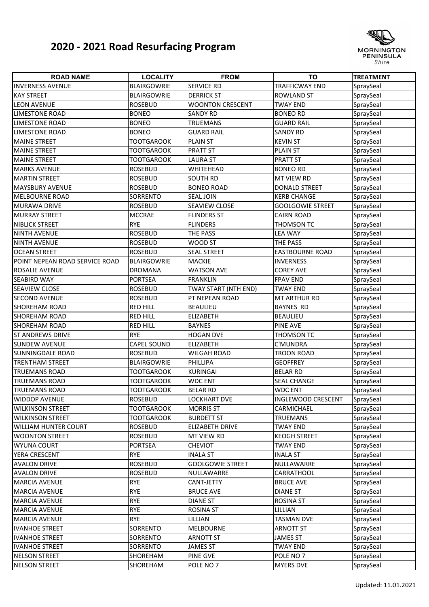## **2020 ‐ 2021 Road Resurfacing Program**



| <b>ROAD NAME</b>               | <b>LOCALITY</b>    | <b>FROM</b>             | <b>TO</b>               | <b>TREATMENT</b> |
|--------------------------------|--------------------|-------------------------|-------------------------|------------------|
| <b>INVERNESS AVENUE</b>        | <b>BLAIRGOWRIE</b> | <b>SERVICE RD</b>       | <b>TRAFFICWAY END</b>   | SpraySeal        |
| <b>KAY STREET</b>              | <b>BLAIRGOWRIE</b> | <b>DERRICK ST</b>       | <b>ROWLAND ST</b>       | SpraySeal        |
| <b>LEON AVENUE</b>             | <b>ROSEBUD</b>     | <b>WOONTON CRESCENT</b> | <b>TWAY END</b>         | SpraySeal        |
| <b>LIMESTONE ROAD</b>          | <b>BONEO</b>       | <b>SANDY RD</b>         | <b>BONEO RD</b>         | SpraySeal        |
| <b>LIMESTONE ROAD</b>          | <b>BONEO</b>       | <b>TRUEMANS</b>         | <b>GUARD RAIL</b>       | SpraySeal        |
| <b>LIMESTONE ROAD</b>          | <b>BONEO</b>       | <b>GUARD RAIL</b>       | <b>SANDY RD</b>         | SpraySeal        |
| <b>MAINE STREET</b>            | <b>TOOTGAROOK</b>  | <b>PLAIN ST</b>         | <b>KEVIN ST</b>         | SpraySeal        |
| <b>MAINE STREET</b>            | <b>TOOTGAROOK</b>  | <b>PRATT ST</b>         | <b>PLAIN ST</b>         | SpraySeal        |
| <b>MAINE STREET</b>            | <b>TOOTGAROOK</b>  | <b>LAURA ST</b>         | <b>PRATT ST</b>         | SpraySeal        |
| <b>MARKS AVENUE</b>            | <b>ROSEBUD</b>     | WHITEHEAD               | <b>BONEO RD</b>         | SpraySeal        |
| <b>MARTIN STREET</b>           | <b>ROSEBUD</b>     | <b>SOUTH RD</b>         | MT VIEW RD              | SpraySeal        |
| <b>MAYSBURY AVENUE</b>         | <b>ROSEBUD</b>     | <b>BONEO ROAD</b>       | <b>DONALD STREET</b>    | SpraySeal        |
| <b>MELBOURNE ROAD</b>          | SORRENTO           | <b>SEAL JOIN</b>        | <b>KERB CHANGE</b>      | SpraySeal        |
| <b>MURAWA DRIVE</b>            | <b>ROSEBUD</b>     | <b>SEAVIEW CLOSE</b>    | <b>GOOLGOWIE STREET</b> | SpraySeal        |
| <b>MURRAY STREET</b>           | <b>MCCRAE</b>      | <b>FLINDERS ST</b>      | <b>CAIRN ROAD</b>       | SpraySeal        |
| NIBLICK STREET                 | <b>RYE</b>         | <b>FLINDERS</b>         | THOMSON TC              | SpraySeal        |
| <b>NINTH AVENUE</b>            | <b>ROSEBUD</b>     | THE PASS                | <b>LEA WAY</b>          | SpraySeal        |
| <b>NINTH AVENUE</b>            | <b>ROSEBUD</b>     | WOOD ST                 | THE PASS                | SpraySeal        |
| <b>OCEAN STREET</b>            | <b>ROSEBUD</b>     | <b>SEAL STREET</b>      | <b>EASTBOURNE ROAD</b>  | SpraySeal        |
| POINT NEPEAN ROAD SERVICE ROAD | <b>BLAIRGOWRIE</b> | <b>MACKIE</b>           | <b>INVERNESS</b>        | SpraySeal        |
| ROSALIE AVENUE                 | <b>DROMANA</b>     | <b>WATSON AVE</b>       | <b>COREY AVE</b>        | SpraySeal        |
| <b>SEABIRD WAY</b>             | <b>PORTSEA</b>     | <b>FRANKLIN</b>         | <b>FPAV END</b>         | SpraySeal        |
| <b>SEAVIEW CLOSE</b>           | <b>ROSEBUD</b>     | TWAY START (NTH END)    | <b>TWAY END</b>         | SpraySeal        |
| <b>SECOND AVENUE</b>           | <b>ROSEBUD</b>     | PT NEPEAN ROAD          | MT ARTHUR RD            | SpraySeal        |
| <b>SHOREHAM ROAD</b>           | <b>RED HILL</b>    | <b>BEAULIEU</b>         | <b>BAYNES RD</b>        | SpraySeal        |
| <b>SHOREHAM ROAD</b>           | <b>RED HILL</b>    | <b>ELIZABETH</b>        | <b>BEAULIEU</b>         | SpraySeal        |
| <b>SHOREHAM ROAD</b>           | <b>RED HILL</b>    | <b>BAYNES</b>           | <b>PINE AVE</b>         | SpraySeal        |
| <b>ST ANDREWS DRIVE</b>        | <b>RYE</b>         | <b>HOGAN DVE</b>        | <b>THOMSON TC</b>       | SpraySeal        |
| <b>SUNDEW AVENUE</b>           | <b>CAPEL SOUND</b> | <b>ELIZABETH</b>        | C'MUNDRA                | SpraySeal        |
| <b>SUNNINGDALE ROAD</b>        | <b>ROSEBUD</b>     | <b>WILGAH ROAD</b>      | <b>TROON ROAD</b>       | SpraySeal        |
| <b>TRENTHAM STREET</b>         | <b>BLAIRGOWRIE</b> | PHILLIPA                | <b>GEOFFREY</b>         | SpraySeal        |
| <b>TRUEMANS ROAD</b>           | <b>TOOTGAROOK</b>  | <b>KURINGAI</b>         | <b>BELAR RD</b>         | SpraySeal        |
| <b>TRUEMANS ROAD</b>           | <b>TOOTGAROOK</b>  | <b>WDC ENT</b>          | <b>SEAL CHANGE</b>      | SpraySeal        |
| <b>TRUEMANS ROAD</b>           | <b>TOOTGAROOK</b>  | <b>BELAR RD</b>         | <b>WDC ENT</b>          | SpraySeal        |
| <b>WIDDOP AVENUE</b>           | <b>ROSEBUD</b>     | <b>LOCKHART DVE</b>     | INGLEWOOD CRESCENT      | SpraySeal        |
| <b>WILKINSON STREET</b>        | <b>TOOTGAROOK</b>  | <b>MORRIS ST</b>        | CARMICHAEL              | SpraySeal        |
| <b>WILKINSON STREET</b>        | <b>TOOTGAROOK</b>  | <b>BURDETT ST</b>       | <b>TRUEMANS</b>         | SpraySeal        |
| <b>WILLIAM HUNTER COURT</b>    | <b>ROSEBUD</b>     | <b>ELIZABETH DRIVE</b>  | <b>TWAY END</b>         | SpraySeal        |
| <b>WOONTON STREET</b>          | <b>ROSEBUD</b>     | MT VIEW RD              | <b>KEOGH STREET</b>     | SpraySeal        |
| <b>WYUNA COURT</b>             | <b>PORTSEA</b>     | <b>CHEVIOT</b>          | <b>TWAY END</b>         | SpraySeal        |
| YERA CRESCENT                  | <b>RYE</b>         | <b>INALA ST</b>         | <b>INALA ST</b>         | SpraySeal        |
| <b>AVALON DRIVE</b>            | <b>ROSEBUD</b>     | <b>GOOLGOWIE STREET</b> | NULLAWARRE              | SpraySeal        |
| <b>AVALON DRIVE</b>            | <b>ROSEBUD</b>     | NULLAWARRE              | CARRATHOOL              | SpraySeal        |
| <b>MARCIA AVENUE</b>           | <b>RYE</b>         | CANT-JETTY              | <b>BRUCE AVE</b>        | SpraySeal        |
| <b>MARCIA AVENUE</b>           | <b>RYE</b>         | <b>BRUCE AVE</b>        | <b>DIANE ST</b>         | SpraySeal        |
| <b>MARCIA AVENUE</b>           | <b>RYE</b>         | <b>DIANE ST</b>         | <b>ROSINA ST</b>        | SpraySeal        |
| <b>MARCIA AVENUE</b>           | <b>RYE</b>         | <b>ROSINA ST</b>        | LILLIAN                 | SpraySeal        |
| <b>MARCIA AVENUE</b>           | <b>RYE</b>         | lillian                 | <b>TASMAN DVE</b>       | SpraySeal        |
| <b>IVANHOE STREET</b>          | SORRENTO           | MELBOURNE               | <b>ARNOTT ST</b>        | SpraySeal        |
| <b>IVANHOE STREET</b>          | <b>SORRENTO</b>    | ARNOTT ST               | <b>JAMES ST</b>         | SpraySeal        |
| <b>IVANHOE STREET</b>          | SORRENTO           | <b>JAMES ST</b>         | <b>TWAY END</b>         | SpraySeal        |
| <b>NELSON STREET</b>           | SHOREHAM           | <b>PINE GVE</b>         | POLE NO 7               | SpraySeal        |
| <b>NELSON STREET</b>           | SHOREHAM           | POLE NO 7               | <b>MYERS DVE</b>        | SpraySeal        |